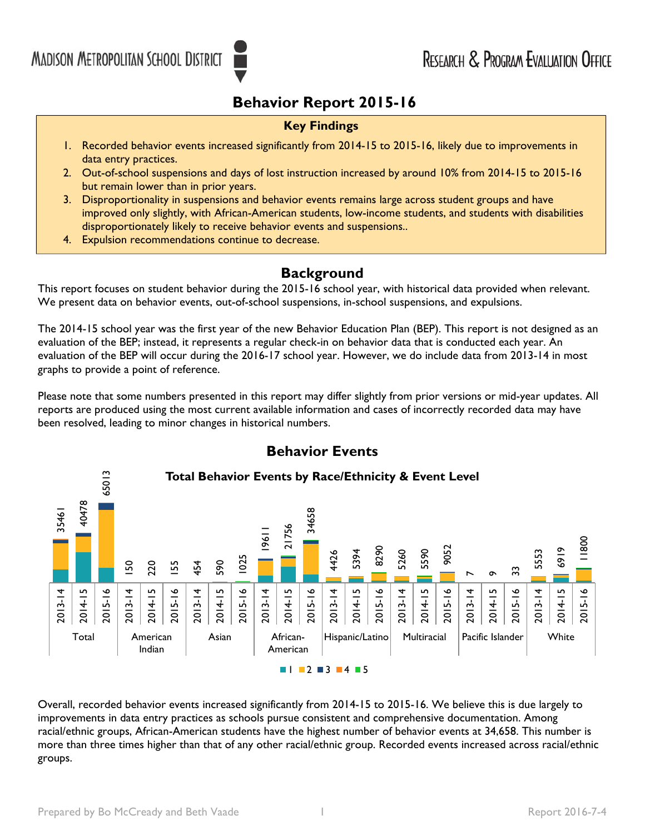## **Behavior Report 2015-16**

#### **Key Findings**

- 1. Recorded behavior events increased significantly from 2014-15 to 2015-16, likely due to improvements in data entry practices.
- 2. Out-of-school suspensions and days of lost instruction increased by around 10% from 2014-15 to 2015-16 but remain lower than in prior years.
- 3. Disproportionality in suspensions and behavior events remains large across student groups and have improved only slightly, with African-American students, low-income students, and students with disabilities disproportionately likely to receive behavior events and suspensions..
- 4. Expulsion recommendations continue to decrease.

### **Background**

This report focuses on student behavior during the 2015-16 school year, with historical data provided when relevant. We present data on behavior events, out-of-school suspensions, in-school suspensions, and expulsions.

 The 2014-15 school year was the first year of the new Behavior Education Plan (BEP). This report is not designed as an evaluation of the BEP; instead, it represents a regular check-in on behavior data that is conducted each year. An evaluation of the BEP will occur during the 2016-17 school year. However, we do include data from 2013-14 in most graphs to provide a point of reference.

Please note that some numbers presented in this report may differ slightly from prior versions or mid-year updates. All reports are produced using the most current available information and cases of incorrectly recorded data may have been resolved, leading to minor changes in historical numbers.



**Behavior Events** 

Overall, recorded behavior events increased significantly from 2014-15 to 2015-16. We believe this is due largely to improvements in data entry practices as schools pursue consistent and comprehensive documentation. Among racial/ethnic groups, African-American students have the highest number of behavior events at 34,658. This number is more than three times higher than that of any other racial/ethnic group. Recorded events increased across racial/ethnic groups.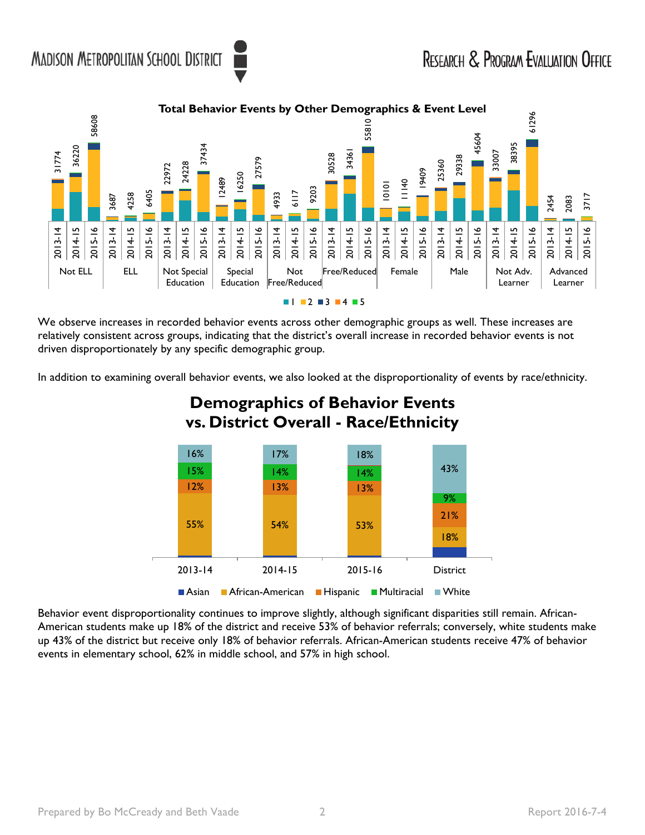

We observe increases in recorded behavior events across other demographic groups as well. These increases are relatively consistent across groups, indicating that the district's overall increase in recorded behavior events is not driven disproportionately by any specific demographic group.

In addition to examining overall behavior events, we also looked at the disproportionality of events by race/ethnicity.



# **Demographics of Behavior Events vs. District Overall - Race/Ethnicity**

Behavior event disproportionality continues to improve slightly, although significant disparities still remain. African-American students make up 18% of the district and receive 53% of behavior referrals; conversely, white students make up 43% of the district but receive only 18% of behavior referrals. African-American students receive 47% of behavior events in elementary school, 62% in middle school, and 57% in high school.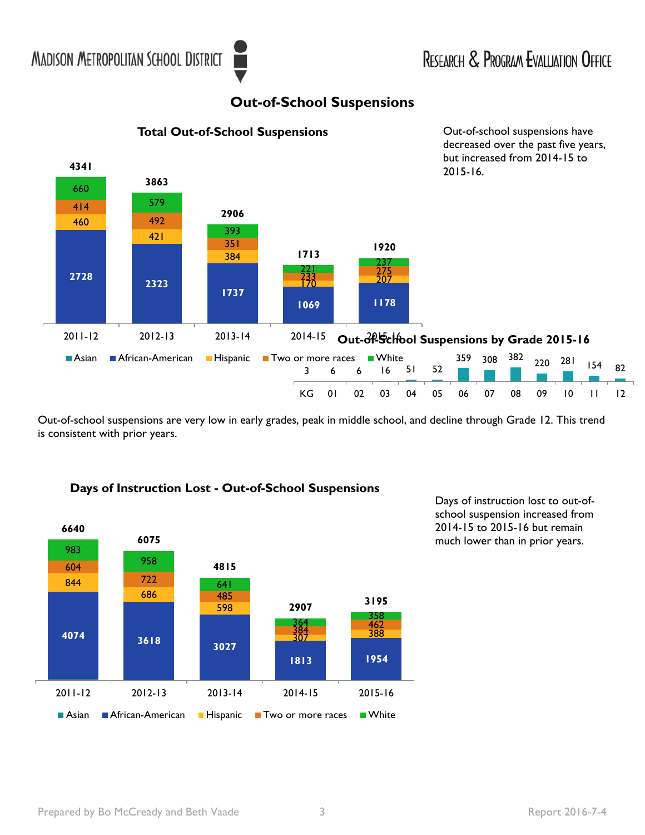## **Out-of-School Suspensions**



Out-of-school suspensions are very low in early grades, peak in middle school, and decline through Grade 12. This trend is consistent with prior years.



### **Days of Instruction Lost - Out-of-School Suspensions**

Days of instruction lost to out-ofschool suspension increased from 2014-15 to 2015-16 but remain much lower than in prior years.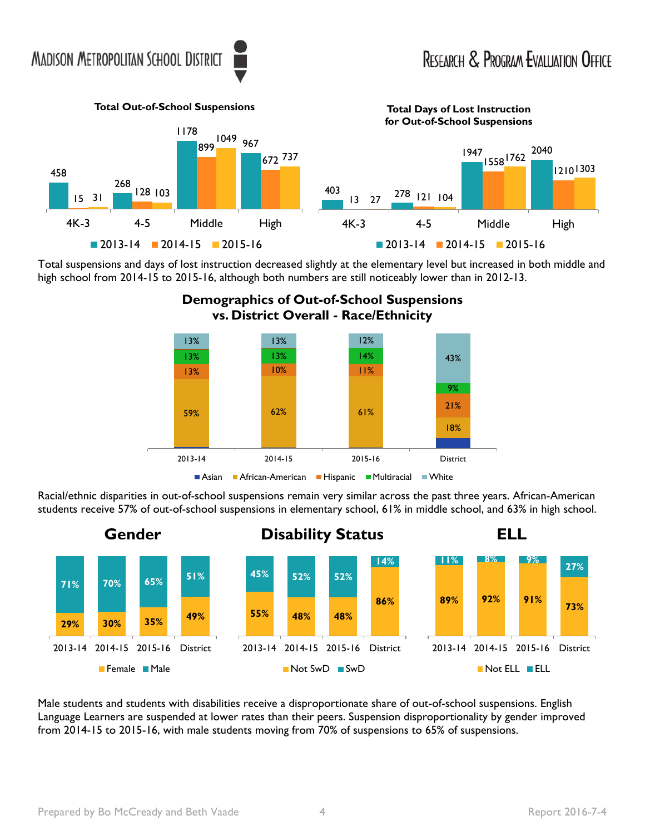

Total suspensions and days of lost instruction decreased slightly at the elementary level but increased in both middle and high school from 2014-15 to 2015-16, although both numbers are still noticeably lower than in 2012-13.



Racial/ethnic disparities in out-of-school suspensions remain very similar across the past three years. African-American students receive 57% of out-of-school suspensions in elementary school, 61% in middle school, and 63% in high school.



Male students and students with disabilities receive a disproportionate share of out-of-school suspensions. English Language Learners are suspended at lower rates than their peers. Suspension disproportionality by gender improved from 2014-15 to 2015-16, with male students moving from 70% of suspensions to 65% of suspensions.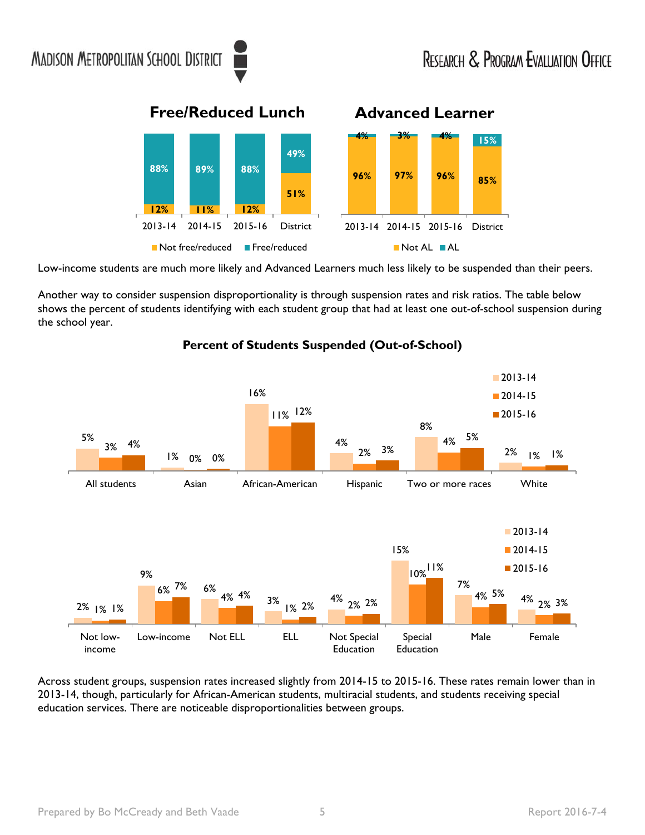**Free/Reduced Lunch Advanced Learner** 



Low-income students are much more likely and Advanced Learners much less likely to be suspended than their peers.

 shows the percent of students identifying with each student group that had at least one out-of-school suspension during Another way to consider suspension disproportionality is through suspension rates and risk ratios. The table below the school year.



**Percent of Students Suspended (Out-of-School)** 

Across student groups, suspension rates increased slightly from 2014-15 to 2015-16. These rates remain lower than in 2013-14, though, particularly for African-American students, multiracial students, and students receiving special education services. There are noticeable disproportionalities between groups.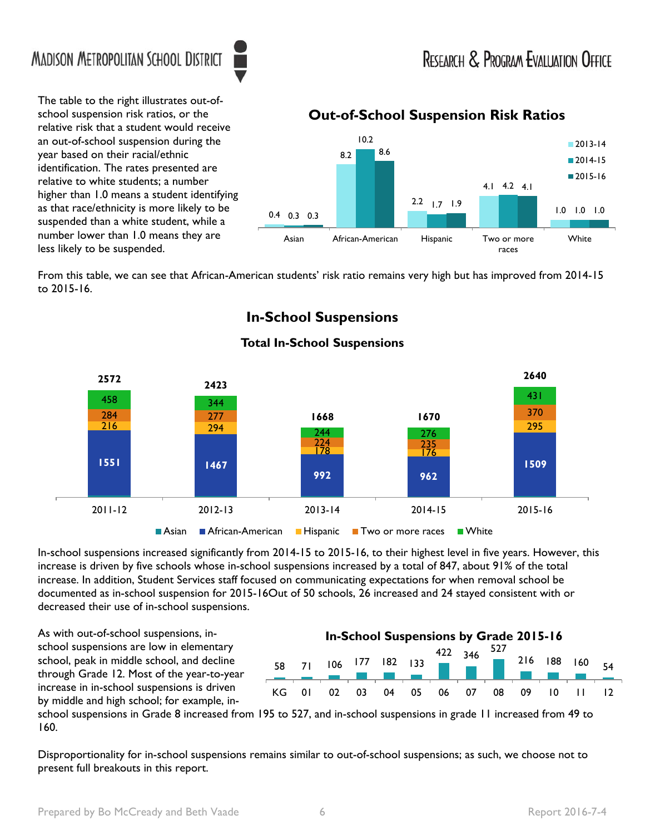races

The table to the right illustrates out-ofschool suspension risk ratios, or the relative risk that a student would receive an out-of-school suspension during the year based on their racial/ethnic identification. The rates presented are relative to white students; a number higher than 1.0 means a student identifying as that race/ethnicity is more likely to be suspended than a white student, while a number lower than 1.0 means they are less likely to be suspended.

## 10.2 2013-14  $8.2$   $8.6$  2014-15 2015-16 4.1 4.2 4.1  $2.2$   $1.7$  1.9 0.4 0.3 0.3 **1.0 1.0 1.0** 1.0 **1.0** 1.0 **1.0** 1.0 **1.0** 1.0 **1.0** Asian African-American Hispanic Two or more White

**Out-of-School Suspension Risk Ratios** 

From this table, we can see that African-American students' risk ratio remains very high but has improved from 2014-15 to 2015-16.

## **In-School Suspensions**



#### **Total In-School Suspensions**

In-school suspensions increased significantly from 2014-15 to 2015-16, to their highest level in five years. However, this increase is driven by five schools whose in-school suspensions increased by a total of 847, about 91% of the total increase. In addition, Student Services staff focused on communicating expectations for when removal school be documented as in-school suspension for 2015-16Out of 50 schools, 26 increased and 24 stayed consistent with or decreased their use of in-school suspensions.

As with out-of-school suspensions, inschool suspensions are low in elementary school, peak in middle school, and decline through Grade 12. Most of the year-to-year increase in in-school suspensions is driven by middle and high school; for example, in-

#### **In-School Suspensions by Grade 2015-16**



school suspensions in Grade 8 increased from 195 to 527, and in-school suspensions in grade 11 increased from 49 to 160.

Disproportionality for in-school suspensions remains similar to out-of-school suspensions; as such, we choose not to present full breakouts in this report.